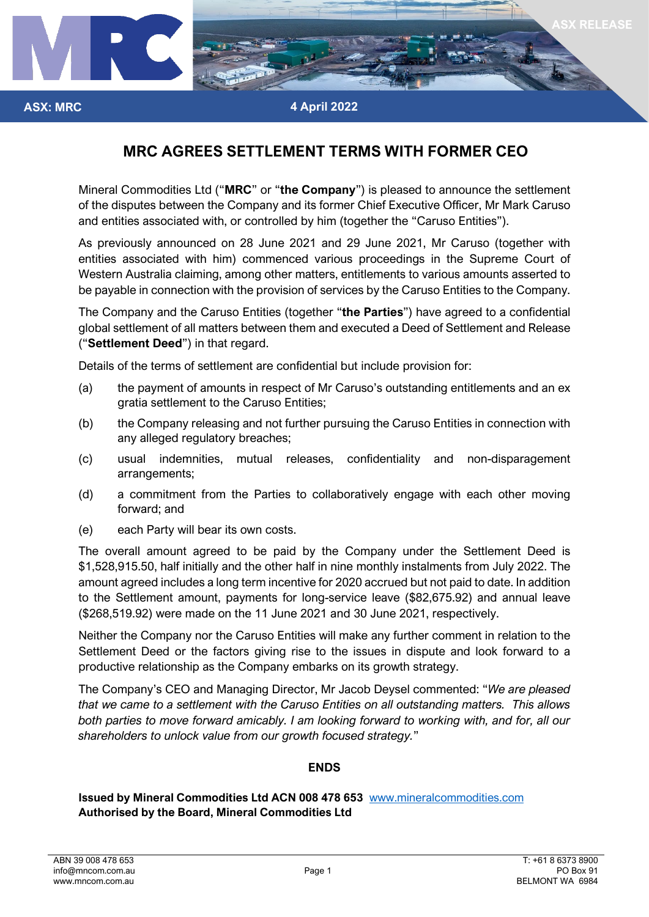

## **MRC AGREES SETTLEMENT TERMS WITH FORMER CEO**

Mineral Commodities Ltd ("**MRC**" or "**the Company**") is pleased to announce the settlement of the disputes between the Company and its former Chief Executive Officer, Mr Mark Caruso and entities associated with, or controlled by him (together the "Caruso Entities").

As previously announced on 28 June 2021 and 29 June 2021, Mr Caruso (together with entities associated with him) commenced various proceedings in the Supreme Court of Western Australia claiming, among other matters, entitlements to various amounts asserted to be payable in connection with the provision of services by the Caruso Entities to the Company.

The Company and the Caruso Entities (together "**the Parties**") have agreed to a confidential global settlement of all matters between them and executed a Deed of Settlement and Release ("**Settlement Deed**") in that regard.

Details of the terms of settlement are confidential but include provision for:

- (a) the payment of amounts in respect of Mr Caruso's outstanding entitlements and an ex gratia settlement to the Caruso Entities;
- (b) the Company releasing and not further pursuing the Caruso Entities in connection with any alleged regulatory breaches;
- (c) usual indemnities, mutual releases, confidentiality and non-disparagement arrangements;
- (d) a commitment from the Parties to collaboratively engage with each other moving forward; and
- (e) each Party will bear its own costs.

The overall amount agreed to be paid by the Company under the Settlement Deed is \$1,528,915.50, half initially and the other half in nine monthly instalments from July 2022. The amount agreed includes a long term incentive for 2020 accrued but not paid to date. In addition to the Settlement amount, payments for long-service leave (\$82,675.92) and annual leave (\$268,519.92) were made on the 11 June 2021 and 30 June 2021, respectively.

Neither the Company nor the Caruso Entities will make any further comment in relation to the Settlement Deed or the factors giving rise to the issues in dispute and look forward to a productive relationship as the Company embarks on its growth strategy.

The Company's CEO and Managing Director, Mr Jacob Deysel commented: "*We are pleased that we came to a settlement with the Caruso Entities on all outstanding matters. This allows both parties to move forward amicably. I am looking forward to working with, and for, all our shareholders to unlock value from our growth focused strategy.*"

## **ENDS**

**Issued by Mineral Commodities Ltd ACN 008 478 653** [www.mineralcommodities.com](http://www.mineralcommodities.com/) **Authorised by the Board, Mineral Commodities Ltd**

**ASX: MRC**